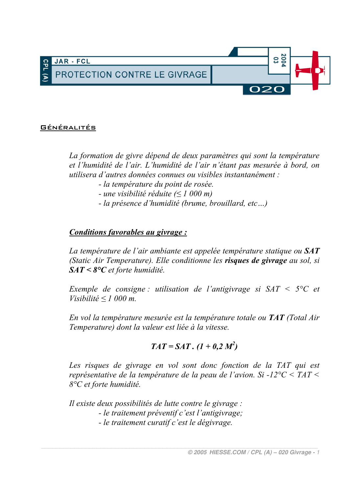

#### **GÉNÉRALITÉS**

La formation de givre dépend de deux paramètres qui sont la température et l'humidité de l'air. L'humidité de l'air n'étant pas mesurée à bord, on utilisera d'autres données connues ou visibles instantanément :

- la température du point de rosée.
- une visibilité réduite  $(< 1000 \text{ m})$
- la présence d'humidité (brume, brouillard, etc...)

#### Conditions favorables au givrage :

La température de l'air ambiante est appelée température statique ou  $SAT$ (Static Air Temperature). Elle conditionne les risques de givrage au sol, si  $SAT < 8^{\circ}C$  et forte humidité.

Exemple de consigne : utilisation de l'antigivrage si  $SAT < 5^{\circ}C$  et Visibilité <  $1000$  m.

En vol la température mesurée est la température totale ou TAT (Total Air Temperature) dont la valeur est liée à la vitesse.

$$
TAT = SAT \cdot (1 + 0.2 M^2)
$$

Les risques de givrage en vol sont donc fonction de la TAT qui est représentative de la température de la peau de l'avion. Si -12 $\degree$ C < TAT < 8°C et forte humidité.

Il existe deux possibilités de lutte contre le givrage : - le traitement préventif c'est l'antigivrage; - le traitement curatif c'est le dégivrage.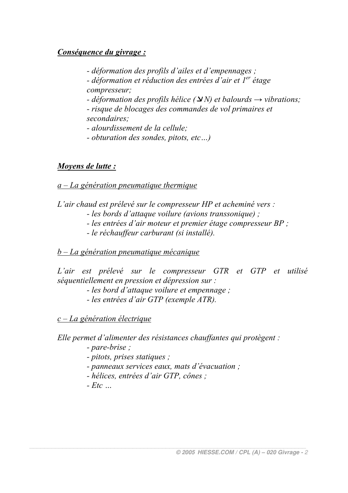# Conséquence du givrage :

- déformation des profils d'ailes et d'empennages :

- déformation et réduction des entrées d'air et  $I<sup>er</sup>$  étage compresseur;

- déformation des profils hélice  $(\Delta N)$  et balourds  $\rightarrow$  vibrations:

- risque de blocages des commandes de vol primaires et secondaires:

- alourdissement de la cellule:

- obturation des sondes, pitots, etc...)

# Movens de lutte :

### $a - La$  génération pneumatique thermique

L'air chaud est prélevé sur le compresseur HP et acheminé vers :

- les bords d'attaque voilure (avions transsonique);

- les entrées d'air moteur et premier étage compresseur BP ;

- le réchauffeur carburant (si installé).

# $b - La$  génération pneumatique mécanique

L'air est prélevé sur le compresseur GTR et GTP et utilisé séquentiellement en pression et dépression sur :

- les bord d'attaque voilure et empennage :

- les entrées d'air GTP (exemple ATR).

 $c - La$  génération électrique

Elle permet d'alimenter des résistances chauffantes qui protègent :

- pare-brise :

- pitots, prises statiques;

- panneaux services eaux, mats d'évacuation ;

- hélices, entrées d'air GTP, cônes ;

 $- Etc$  ...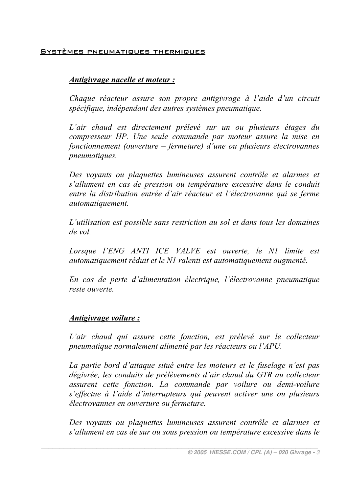#### SYSTÈMES PNEUMATIQUES THERMIQUES

#### Antigivrage nacelle et moteur:

Chaque réacteur assure son propre antigivrage à l'aide d'un circuit spécifique, indépendant des autres systèmes pneumatique.

L'air chaud est directement prélevé sur un ou plusieurs étages du compresseur HP. Une seule commande par moteur assure la mise en fonctionnement (ouverture – fermeture) d'une ou plusieurs électrovannes *pneumatiques.* 

Des voyants ou plaquettes lumineuses assurent contrôle et alarmes et s'allument en cas de pression ou température excessive dans le conduit entre la distribution entrée d'air réacteur et l'électrovanne qui se ferme automatiquement.

L'utilisation est possible sans restriction au sol et dans tous les domaines de vol

Lorsque l'ENG ANTI ICE VALVE est ouverte, le N1 limite est automatiquement réduit et le N1 ralenti est automatiquement augmenté.

En cas de perte d'alimentation électrique, l'électrovanne pneumatique reste ouverte

### Antigivrage voilure:

L'air chaud qui assure cette fonction, est prélevé sur le collecteur pneumatique normalement alimenté par les réacteurs ou l'APU.

La partie bord d'attaque situé entre les moteurs et le fuselage n'est pas dégivrée, les conduits de prélèvements d'air chaud du GTR au collecteur assurent cette fonction. La commande par voilure ou demi-voilure s'effectue à l'aide d'interrupteurs qui peuvent activer une ou plusieurs électrovannes en ouverture ou fermeture.

Des voyants ou plaquettes lumineuses assurent contrôle et alarmes et s'allument en cas de sur ou sous pression ou température excessive dans le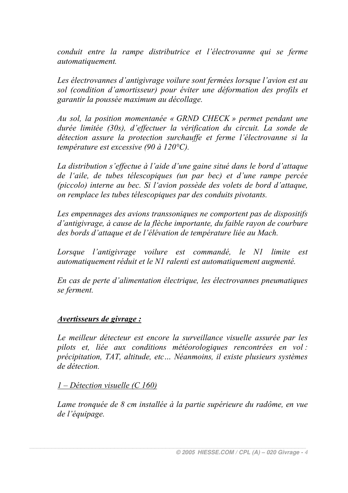conduit entre la rampe distributrice et l'électrovanne qui se ferme automatiquement.

Les électrovannes d'antigivrage voilure sont fermées lorsque l'avion est au sol (condition d'amortisseur) pour éviter une déformation des profils et garantir la poussée maximum au décollage.

Au sol, la position momentanée « GRND CHECK » permet pendant une durée limitée (30s), d'effectuer la vérification du circuit. La sonde de détection assure la protection surchauffe et ferme l'électrovanne si la température est excessive (90 à 120 $^{\circ}$ C).

La distribution s'effectue à l'aide d'une gaine situé dans le bord d'attaque de l'aile, de tubes télescopiques (un par bec) et d'une rampe percée (piccolo) interne au bec. Si l'avion possède des volets de bord d'attaque. on remplace les tubes télescopiques par des conduits pivotants.

Les empennages des avions transsoniques ne comportent pas de dispositifs d'antigivrage, à cause de la flèche importante, du faible rayon de courbure des bords d'attaque et de l'élévation de température liée au Mach.

Lorsque l'antigivrage voilure est commandé, le N1 limite est automatiquement réduit et le N1 ralenti est automatiquement augmenté.

En cas de perte d'alimentation électrique, les électrovannes pneumatiques se ferment.

# *Avertisseurs de givrage:*

Le meilleur détecteur est encore la surveillance visuelle assurée par les pilots et, liée aux conditions météorologiques rencontrées en vol : précipitation, TAT, altitude, etc... Néanmoins, il existe plusieurs systèmes de détection

#### $1 -$ Détection visuelle (C 160)

Lame tronquée de 8 cm installée à la partie supérieure du radôme, en vue de l'équipage.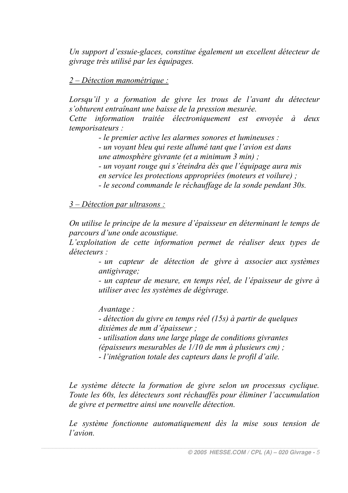Un support d'essuie-glaces, constitue également un excellent détecteur de givrage très utilisé par les équipages.

 $2-Délection$  manométrique :

Lorsau'il y a formation de givre les trous de l'avant du détecteur s'obturent entraînant une baisse de la pression mesurée.

Cette information traitée électroniquement est envoyée à deux temporisateurs:

- le premier active les alarmes sonores et lumineuses :

- un vovant bleu qui reste allumé tant que l'avion est dans une atmosphère givrante (et a minimum 3 min);

- un voyant rouge qui s'éteindra dès que l'équipage aura mis en service les protections appropriées (moteurs et voilure) ;

- le second commande le réchauffage de la sonde pendant 30s.

 $3 - Délection$  par ultrasons :

On utilise le principe de la mesure d'épaisseur en déterminant le temps de parcours d'une onde acoustique.

L'exploitation de cette information permet de réaliser deux types de  $d\acute{e}tecteurs$ 

- un capteur de détection de givre à associer aux systèmes antigivrage:

- un capteur de mesure, en temps réel, de l'épaisseur de givre à utiliser avec les systèmes de dégivrage.

Avantage:

- détection du givre en temps réel (15s) à partir de quelques dixièmes de mm d'épaisseur :

- utilisation dans une large plage de conditions givrantes

(épaisseurs mesurables de  $1/10$  de mm à plusieurs cm) :

- l'intégration totale des capteurs dans le profil d'aile.

Le système détecte la formation de givre selon un processus cyclique. Toute les 60s, les détecteurs sont réchauffés pour éliminer l'accumulation de givre et permettre ainsi une nouvelle détection.

Le système fonctionne automatiquement dès la mise sous tension de l'avion.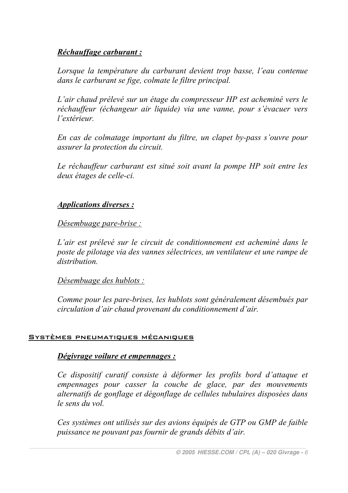# Réchauffage carburant :

Lorsaue la température du carburant devient trop basse, l'eau contenue dans le carburant se fige, colmate le filtre principal.

L'air chaud prélevé sur un étage du compresseur HP est acheminé vers le réchauffeur (échangeur air liquide) via une vanne, pour s'évacuer vers l'extérieur

En cas de colmatage important du filtre, un clapet by-pass s'ouvre pour assurer la protection du circuit.

Le réchauffeur carburant est situé soit avant la pompe HP soit entre les deux étages de celle-ci.

# **Applications diverses:**

Désembuage pare-brise :

L'air est prélevé sur le circuit de conditionnement est acheminé dans le poste de pilotage via des vannes sélectrices, un ventilateur et une rampe de distribution

Désembuage des hublots :

Comme pour les pare-brises, les hublots sont généralement désembués par circulation d'air chaud provenant du conditionnement d'air.

#### SYSTÈMES PNEUMATIQUES MÉCANIQUES

# Dégivrage voilure et empennages :

Ce dispositif curatif consiste à déformer les profils bord d'attaque et empennages pour casser la couche de glace, par des mouvements alternatifs de gonflage et dégonflage de cellules tubulaires disposées dans le sens du vol

Ces systèmes ont utilisés sur des avions équipés de GTP ou GMP de faible puissance ne pouvant pas fournir de grands débits d'air.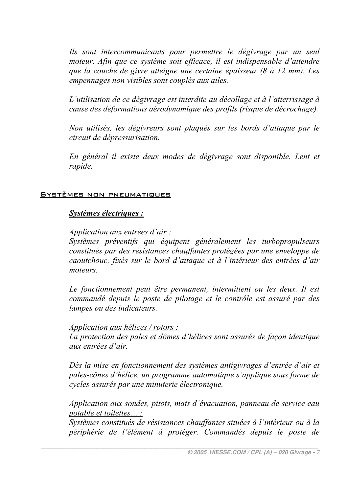Ils sont intercommunicants pour permettre le dégivrage par un seul moteur. Afin que ce système soit efficace, il est indispensable d'attendre que la couche de givre atteigne une certaine épaisseur (8 à 12 mm). Les empennages non visibles sont couplés aux ailes.

L'utilisation de ce dégivrage est interdite au décollage et à l'atterrissage à cause des déformations aérodynamique des profils (risque de décrochage).

Non utilisés, les dégivreurs sont plaqués sur les bords d'attaque par le circuit de dépressurisation.

En général il existe deux modes de dégivrage sont disponible. Lent et rapide.

#### SYSTÈMES NON PNEUMATIQUES

#### Systèmes électriques :

#### Application aux entrées d'air :

Systèmes préventifs qui équipent généralement les turbopropulseurs constitués par des résistances chauffantes protégées par une enveloppe de caoutchouc, fixés sur le bord d'attaque et à l'intérieur des entrées d'air moteurs

Le fonctionnement peut être permanent, intermittent ou les deux. Il est commandé depuis le poste de pilotage et le contrôle est assuré par des lampes ou des indicateurs.

#### Application aux hélices / rotors :

La protection des pales et dômes d'hélices sont assurés de façon identique aux entrées d'air

Dès la mise en fonctionnement des systèmes antigivrages d'entrée d'air et pales-cônes d'hélice, un programme automatique s'applique sous forme de cycles assurés par une minuterie électronique.

Application aux sondes, pitots, mats d'évacuation, panneau de service eau potable et toilettes... :

Systèmes constitués de résistances chauffantes situées à l'intérieur ou à la périphérie de l'élément à protéger. Commandés depuis le poste de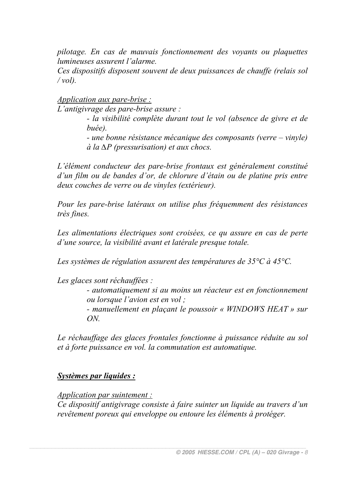pilotage. En cas de mauvais fonctionnement des voyants ou plaquettes lumineuses assurent l'alarme.

Ces dispositifs disposent souvent de deux puissances de chauffe (relais sol  $/vol.$ 

Application aux pare-brise :

L'antigivrage des pare-brise assure :

- la visibilité complète durant tout le vol (absence de givre et de  $hu\acute{e}e$ )

- une bonne résistance mécanique des composants (verre – vinyle)  $\dot{a}$  la  $\Delta P$  (pressurisation) et aux chocs.

L'élément conducteur des pare-brise frontaux est généralement constitué d'un film ou de bandes d'or, de chlorure d'étain ou de platine pris entre deux couches de verre ou de vinvles (extérieur).

Pour les pare-brise latéraux on utilise plus fréquemment des résistances très fines.

Les alimentations électriques sont croisées, ce qu assure en cas de perte d'une source, la visibilité avant et latérale presque totale.

Les systèmes de régulation assurent des températures de  $35^{\circ}$ C à  $45^{\circ}$ C.

Les glaces sont réchauffées :

- automatiquement si au moins un réacteur est en fonctionnement *ou lorsque l'avion est en vol ;* 

- manuellement en plaçant le poussoir « WINDOWS HEAT » sur  $ON$ 

Le réchauffage des glaces frontales fonctionne à puissance réduite au sol et à forte puissance en vol. la commutation est automatique.

# **Systèmes par liquides:**

*Application par suintement :* 

Ce dispositif antigivrage consiste à faire suinter un liquide au travers d'un revêtement poreux qui enveloppe ou entoure les éléments à protéger.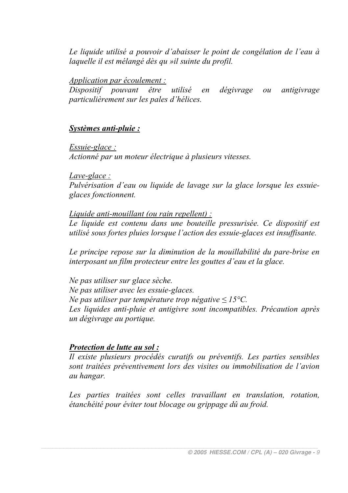Le liquide utilisé a pouvoir d'abaisser le point de congélation de l'eau à laquelle il est mélangé dès qu »il suinte du profil.

Application par écoulement :

Dispositif pouvant être utilisé en dégivrage antigivrage  $ou$ particulièrement sur les pales d'hélices.

# Systèmes anti-pluie :

 $E$ ssuie-glace:

Actionné par un moteur électrique à plusieurs vitesses.

### $Lave$ -glace:

Pulvérisation d'eau ou liquide de lavage sur la glace lorsque les essuieglaces fonctionnent.

Liquide anti-mouillant (ou rain repellent) :

Le liquide est contenu dans une bouteille pressurisée. Ce dispositif est utilisé sous fortes pluies lorsque l'action des essuie-glaces est insuffisante.

Le principe repose sur la diminution de la mouillabilité du pare-brise en interposant un film protecteur entre les gouttes d'eau et la glace.

Ne pas utiliser sur glace sèche. Ne pas utiliser avec les essuie-glaces. Ne pas utiliser par température trop négative  $\leq 15^{\circ}$ C. Les liquides anti-pluie et antigivre sont incompatibles. Précaution après un dégivrage au portique.

# Protection de lutte au sol :

Il existe plusieurs procédés curatifs ou préventifs. Les parties sensibles sont traitées préventivement lors des visites ou immobilisation de l'avion au hangar.

Les parties traitées sont celles travaillant en translation, rotation, étanchéité pour éviter tout blocage ou grippage dû au froid.